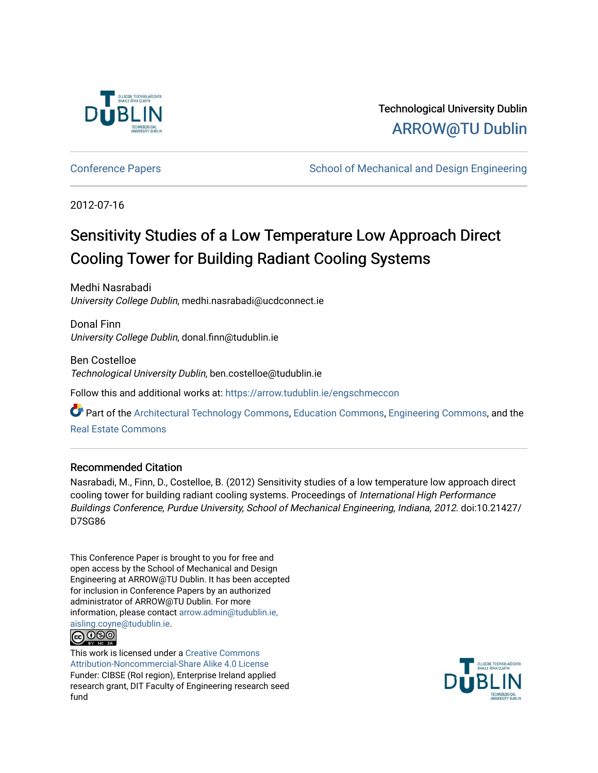

# Technological University Dublin [ARROW@TU Dublin](https://arrow.tudublin.ie/)

[Conference Papers](https://arrow.tudublin.ie/engschmeccon) **School of Mechanical and Design Engineering** Conference Papers

2012-07-16

# Sensitivity Studies of a Low Temperature Low Approach Direct Cooling Tower for Building Radiant Cooling Systems

Medhi Nasrabadi University College Dublin, medhi.nasrabadi@ucdconnect.ie

Donal Finn University College Dublin, donal.finn@tudublin.ie

Ben Costelloe Technological University Dublin, ben.costelloe@tudublin.ie

Follow this and additional works at: [https://arrow.tudublin.ie/engschmeccon](https://arrow.tudublin.ie/engschmeccon?utm_source=arrow.tudublin.ie%2Fengschmeccon%2F72&utm_medium=PDF&utm_campaign=PDFCoverPages) 

Part of the [Architectural Technology Commons](http://network.bepress.com/hgg/discipline/1194?utm_source=arrow.tudublin.ie%2Fengschmeccon%2F72&utm_medium=PDF&utm_campaign=PDFCoverPages), [Education Commons,](http://network.bepress.com/hgg/discipline/784?utm_source=arrow.tudublin.ie%2Fengschmeccon%2F72&utm_medium=PDF&utm_campaign=PDFCoverPages) [Engineering Commons,](http://network.bepress.com/hgg/discipline/217?utm_source=arrow.tudublin.ie%2Fengschmeccon%2F72&utm_medium=PDF&utm_campaign=PDFCoverPages) and the [Real Estate Commons](http://network.bepress.com/hgg/discipline/641?utm_source=arrow.tudublin.ie%2Fengschmeccon%2F72&utm_medium=PDF&utm_campaign=PDFCoverPages) 

# Recommended Citation

Nasrabadi, M., Finn, D., Costelloe, B. (2012) Sensitivity studies of a low temperature low approach direct cooling tower for building radiant cooling systems. Proceedings of International High Performance Buildings Conference, Purdue University, School of Mechanical Engineering, Indiana, 2012. doi:10.21427/ D7SG86

This Conference Paper is brought to you for free and open access by the School of Mechanical and Design Engineering at ARROW@TU Dublin. It has been accepted for inclusion in Conference Papers by an authorized administrator of ARROW@TU Dublin. For more information, please contact [arrow.admin@tudublin.ie,](mailto:arrow.admin@tudublin.ie,%20aisling.coyne@tudublin.ie)  [aisling.coyne@tudublin.ie.](mailto:arrow.admin@tudublin.ie,%20aisling.coyne@tudublin.ie)



This work is licensed under a [Creative Commons](http://creativecommons.org/licenses/by-nc-sa/4.0/) [Attribution-Noncommercial-Share Alike 4.0 License](http://creativecommons.org/licenses/by-nc-sa/4.0/) Funder: CIBSE (RoI region), Enterprise Ireland applied research grant, DIT Faculty of Engineering research seed fund

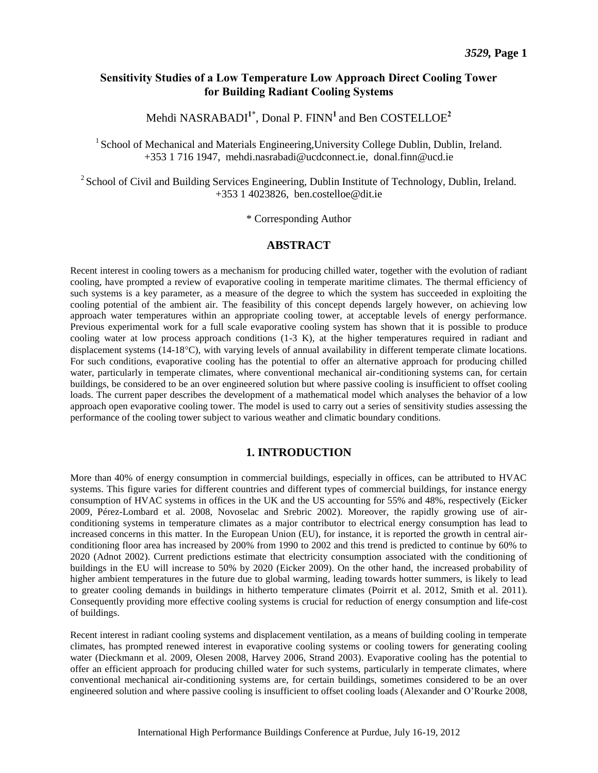# **Sensitivity Studies of a Low Temperature Low Approach Direct Cooling Tower for Building Radiant Cooling Systems**

Mehdi NASRABADI**1\***, Donal P. FINN**<sup>1</sup>**and Ben COSTELLOE**<sup>2</sup>**

<sup>1</sup> School of Mechanical and Materials Engineering, University College Dublin, Dublin, Ireland. +353 1 716 1947, mehdi.nasrabadi@ucdconnect.ie, [donal.finn@ucd.ie](mailto:donal.finn@ucd.ie)

 $2^2$  School of Civil and Building Services Engineering, Dublin Institute of Technology, Dublin, Ireland. +353 1 4023826, [ben.costelloe@dit.ie](mailto:ben.costelloe@dit.ie)

\* Corresponding Author

#### **ABSTRACT**

Recent interest in cooling towers as a mechanism for producing chilled water, together with the evolution of radiant cooling, have prompted a review of evaporative cooling in temperate maritime climates. The thermal efficiency of such systems is a key parameter, as a measure of the degree to which the system has succeeded in exploiting the cooling potential of the ambient air. The feasibility of this concept depends largely however, on achieving low approach water temperatures within an appropriate cooling tower, at acceptable levels of energy performance. Previous experimental work for a full scale evaporative cooling system has shown that it is possible to produce cooling water at low process approach conditions (1-3 K), at the higher temperatures required in radiant and displacement systems (14-18°C), with varying levels of annual availability in different temperate climate locations. For such conditions, evaporative cooling has the potential to offer an alternative approach for producing chilled water, particularly in temperate climates, where conventional mechanical air-conditioning systems can, for certain buildings, be considered to be an over engineered solution but where passive cooling is insufficient to offset cooling loads. The current paper describes the development of a mathematical model which analyses the behavior of a low approach open evaporative cooling tower. The model is used to carry out a series of sensitivity studies assessing the performance of the cooling tower subject to various weather and climatic boundary conditions.

#### **1. INTRODUCTION**

More than 40% of energy consumption in commercial buildings, especially in offices, can be attributed to HVAC systems. This figure varies for different countries and different types of commercial buildings, for instance energy consumption of HVAC systems in offices in the UK and the US accounting for 55% and 48%, respectively (Eicker 2009, Pérez-Lombard et al. 2008, Novoselac and Srebric 2002). Moreover, the rapidly growing use of airconditioning systems in temperature climates as a major contributor to electrical energy consumption has lead to increased concerns in this matter. In the European Union (EU), for instance, it is reported the growth in central airconditioning floor area has increased by 200% from 1990 to 2002 and this trend is predicted to continue by 60% to 2020 (Adnot 2002). Current predictions estimate that electricity consumption associated with the conditioning of buildings in the EU will increase to 50% by 2020 (Eicker 2009). On the other hand, the increased probability of higher ambient temperatures in the future due to global warming, leading towards hotter summers, is likely to lead to greater cooling demands in buildings in hitherto temperature climates (Poirrit et al. 2012, Smith et al. 2011). Consequently providing more effective cooling systems is crucial for reduction of energy consumption and life-cost of buildings.

Recent interest in radiant cooling systems and displacement ventilation, as a means of building cooling in temperate climates, has prompted renewed interest in evaporative cooling systems or cooling towers for generating cooling water (Dieckmann et al. 2009, Olesen 2008, Harvey 2006, Strand 2003). Evaporative cooling has the potential to offer an efficient approach for producing chilled water for such systems, particularly in temperate climates, where conventional mechanical air-conditioning systems are, for certain buildings, sometimes considered to be an over engineered solution and where passive cooling is insufficient to offset cooling loads (Alexander and O'Rourke 2008,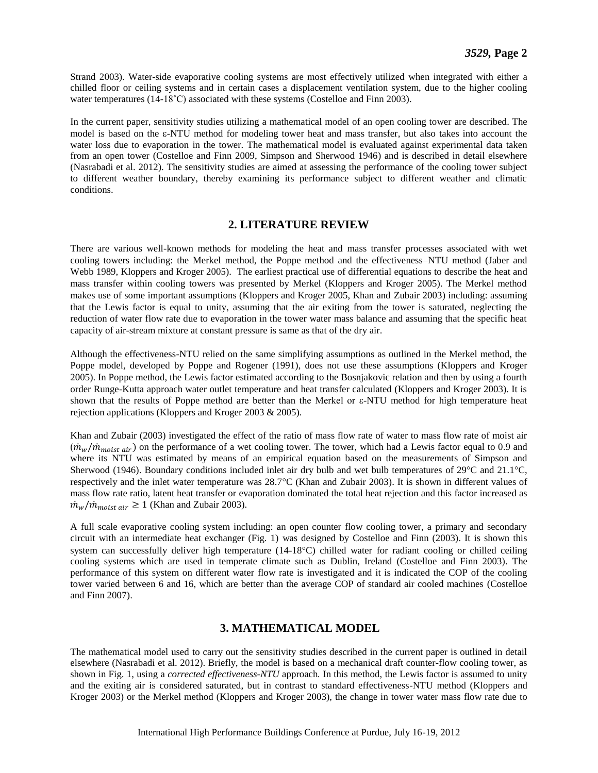Strand 2003). Water-side evaporative cooling systems are most effectively utilized when integrated with either a chilled floor or ceiling systems and in certain cases a displacement ventilation system, due to the higher cooling water temperatures (14-18<sup>°</sup>C) associated with these systems (Costelloe and Finn 2003).

In the current paper, sensitivity studies utilizing a mathematical model of an open cooling tower are described. The model is based on the  $\varepsilon$ -NTU method for modeling tower heat and mass transfer, but also takes into account the water loss due to evaporation in the tower. The mathematical model is evaluated against experimental data taken from an open tower (Costelloe and Finn 2009, Simpson and Sherwood 1946) and is described in detail elsewhere (Nasrabadi et al. 2012). The sensitivity studies are aimed at assessing the performance of the cooling tower subject to different weather boundary, thereby examining its performance subject to different weather and climatic conditions.

# **2. LITERATURE REVIEW**

There are various well-known methods for modeling the heat and mass transfer processes associated with wet cooling towers including: the Merkel method, the Poppe method and the effectiveness–NTU method (Jaber and Webb 1989, Kloppers and Kroger 2005). The earliest practical use of differential equations to describe the heat and mass transfer within cooling towers was presented by Merkel (Kloppers and Kroger 2005). The Merkel method makes use of some important assumptions (Kloppers and Kroger 2005, Khan and Zubair 2003) including: assuming that the Lewis factor is equal to unity, assuming that the air exiting from the tower is saturated, neglecting the reduction of water flow rate due to evaporation in the tower water mass balance and assuming that the specific heat capacity of air-stream mixture at constant pressure is same as that of the dry air.

Although the effectiveness-NTU relied on the same simplifying assumptions as outlined in the Merkel method, the Poppe model, developed by Poppe and Rogener (1991), does not use these assumptions (Kloppers and Kroger 2005). In Poppe method, the Lewis factor estimated according to the Bosnjakovic relation and then by using a fourth order Runge-Kutta approach water outlet temperature and heat transfer calculated (Kloppers and Kroger 2003). It is shown that the results of Poppe method are better than the Merkel or ε-NTU method for high temperature heat rejection applications (Kloppers and Kroger 2003 & 2005).

Khan and Zubair (2003) investigated the effect of the ratio of mass flow rate of water to mass flow rate of moist air  $(\dot{m}_w/\dot{m}_{moist\ air})$  on the performance of a wet cooling tower. The tower, which had a Lewis factor equal to 0.9 and where its NTU was estimated by means of an empirical equation based on the measurements of Simpson and Sherwood (1946). Boundary conditions included inlet air dry bulb and wet bulb temperatures of 29 $^{\circ}$ C and 21.1 $^{\circ}$ C, respectively and the inlet water temperature was 28.7°C (Khan and Zubair 2003). It is shown in different values of mass flow rate ratio, latent heat transfer or evaporation dominated the total heat rejection and this factor increased as  $\dot{m}_w / \dot{m}_{moist\ air} \ge 1$  (Khan and Zubair 2003).

A full scale evaporative cooling system including: an open counter flow cooling tower, a primary and secondary circuit with an intermediate heat exchanger (Fig. 1) was designed by Costelloe and Finn (2003). It is shown this system can successfully deliver high temperature  $(14-18\degree C)$  chilled water for radiant cooling or chilled ceiling cooling systems which are used in temperate climate such as Dublin, Ireland (Costelloe and Finn 2003). The performance of this system on different water flow rate is investigated and it is indicated the COP of the cooling tower varied between 6 and 16, which are better than the average COP of standard air cooled machines (Costelloe and Finn 2007).

# **3. MATHEMATICAL MODEL**

The mathematical model used to carry out the sensitivity studies described in the current paper is outlined in detail elsewhere (Nasrabadi et al. 2012). Briefly, the model is based on a mechanical draft counter-flow cooling tower, as shown in Fig. 1, using a *corrected effectiveness-NTU* approach*.* In this method, the Lewis factor is assumed to unity and the exiting air is considered saturated, but in contrast to standard effectiveness-NTU method (Kloppers and Kroger 2003) or the Merkel method (Kloppers and Kroger 2003), the change in tower water mass flow rate due to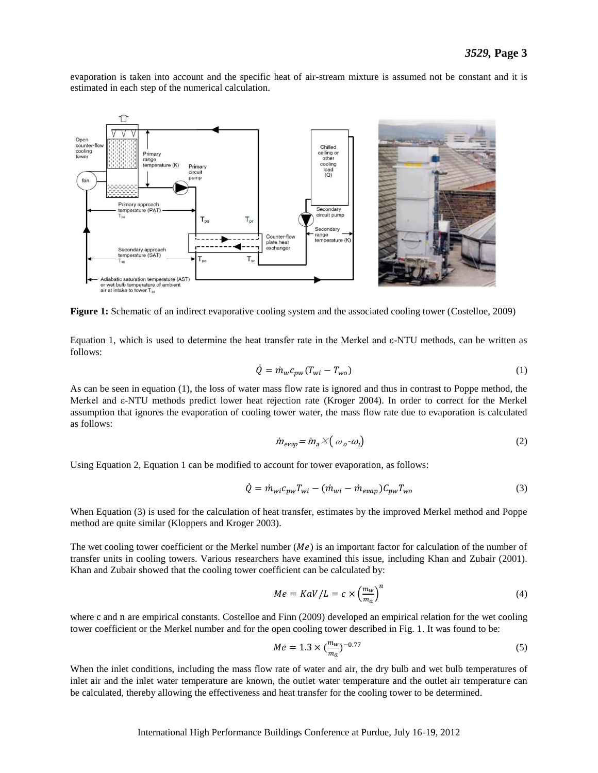evaporation is taken into account and the specific heat of air-stream mixture is assumed not be constant and it is estimated in each step of the numerical calculation.



**Figure 1:** Schematic of an indirect evaporative cooling system and the associated cooling tower (Costelloe, 2009)

Equation 1, which is used to determine the heat transfer rate in the Merkel and ε-NTU methods, can be written as follows:

$$
\dot{Q} = \dot{m}_w c_{pw} (T_{wi} - T_{wo}) \tag{1}
$$

As can be seen in equation (1), the loss of water mass flow rate is ignored and thus in contrast to Poppe method, the Merkel and ε-NTU methods predict lower heat rejection rate (Kroger 2004). In order to correct for the Merkel assumption that ignores the evaporation of cooling tower water, the mass flow rate due to evaporation is calculated as follows:

$$
\dot{m}_{evap} = \dot{m}_a \times (\omega_o - \omega_i) \tag{2}
$$

Using Equation 2, Equation 1 can be modified to account for tower evaporation, as follows:

$$
\dot{Q} = \dot{m}_{wi}c_{pw}T_{wi} - (\dot{m}_{wi} - \dot{m}_{evap})C_{pw}T_{wo}
$$
\n(3)

When Equation (3) is used for the calculation of heat transfer, estimates by the improved Merkel method and Poppe method are quite similar (Kloppers and Kroger 2003).

The wet cooling tower coefficient or the Merkel number  $(Me)$  is an important factor for calculation of the number of transfer units in cooling towers. Various researchers have examined this issue, including Khan and Zubair (2001). Khan and Zubair showed that the cooling tower coefficient can be calculated by:

$$
Me = KaV/L = c \times \left(\frac{m_w}{m_a}\right)^n
$$
\n(4)

where c and n are empirical constants. Costelloe and Finn (2009) developed an empirical relation for the wet cooling tower coefficient or the Merkel number and for the open cooling tower described in Fig. 1. It was found to be:

$$
Me = 1.3 \times \left(\frac{m_w}{m_a}\right)^{-0.77}
$$
 (5)

When the inlet conditions, including the mass flow rate of water and air, the dry bulb and wet bulb temperatures of inlet air and the inlet water temperature are known, the outlet water temperature and the outlet air temperature can be calculated, thereby allowing the effectiveness and heat transfer for the cooling tower to be determined.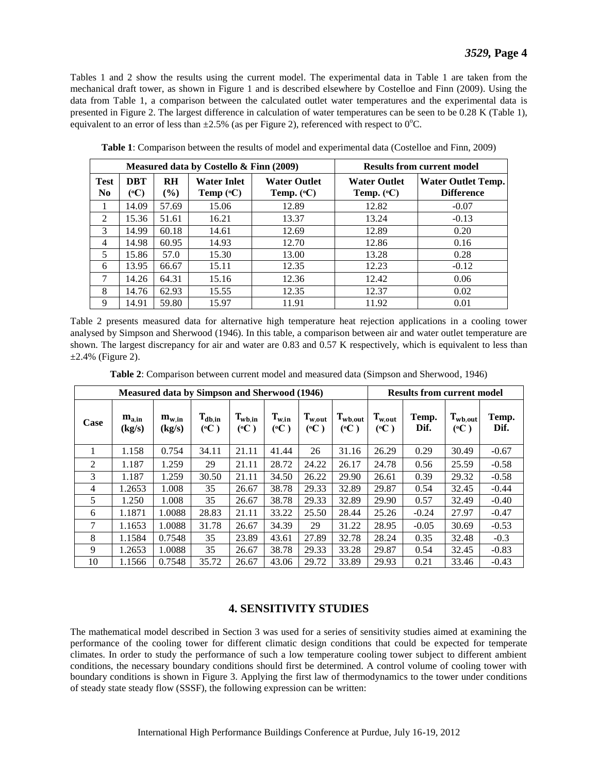Tables 1 and 2 show the results using the current model. The experimental data in Table 1 are taken from the mechanical draft tower, as shown in Figure 1 and is described elsewhere by Costelloe and Finn (2009). Using the data from Table 1, a comparison between the calculated outlet water temperatures and the experimental data is presented in Figure 2. The largest difference in calculation of water temperatures can be seen to be 0.28 K (Table 1), equivalent to an error of less than  $\pm 2.5\%$  (as per Figure 2), referenced with respect to 0<sup>o</sup>C.

| Measured data by Costello & Finn (2009) |                    |              |                                          |                                              | <b>Results from current model</b>          |                                                |  |  |
|-----------------------------------------|--------------------|--------------|------------------------------------------|----------------------------------------------|--------------------------------------------|------------------------------------------------|--|--|
| <b>Test</b><br>N <sub>0</sub>           | <b>DBT</b><br>(°C) | RH<br>$($ %) | <b>Water Inlet</b><br>Temp $(^{\circ}C)$ | <b>Water Outlet</b><br>Temp. $({}^{\circ}C)$ | <b>Water Outlet</b><br>Temp. $(^{\circ}C)$ | <b>Water Outlet Temp.</b><br><b>Difference</b> |  |  |
|                                         | 14.09              | 57.69        | 15.06                                    | 12.89                                        | 12.82                                      | $-0.07$                                        |  |  |
| 2                                       | 15.36              | 51.61        | 16.21                                    | 13.37                                        | 13.24                                      | $-0.13$                                        |  |  |
| 3                                       | 14.99              | 60.18        | 14.61                                    | 12.69                                        | 12.89                                      | 0.20                                           |  |  |
| 4                                       | 14.98              | 60.95        | 14.93                                    | 12.70                                        | 12.86                                      | 0.16                                           |  |  |
| 5                                       | 15.86              | 57.0         | 15.30                                    | 13.00                                        | 13.28                                      | 0.28                                           |  |  |
| 6                                       | 13.95              | 66.67        | 15.11                                    | 12.35                                        | 12.23                                      | $-0.12$                                        |  |  |
| 7                                       | 14.26              | 64.31        | 15.16                                    | 12.36                                        | 12.42                                      | 0.06                                           |  |  |
| 8                                       | 14.76              | 62.93        | 15.55                                    | 12.35                                        | 12.37                                      | 0.02                                           |  |  |
| 9                                       | 14.91              | 59.80        | 15.97                                    | 11.91                                        | 11.92                                      | 0.01                                           |  |  |

**Table 1**: Comparison between the results of model and experimental data (Costelloe and Finn, 2009)

Table 2 presents measured data for alternative high temperature heat rejection applications in a cooling tower analysed by Simpson and Sherwood (1946). In this table, a comparison between air and water outlet temperature are shown. The largest discrepancy for air and water are 0.83 and 0.57 K respectively, which is equivalent to less than  $\pm 2.4\%$  (Figure 2).

| <b>Measured data by Simpson and Sherwood (1946)</b> |                      |                                                 |                    |                                |                   | <b>Results from current model</b> |                      |                                |               |                                 |               |
|-----------------------------------------------------|----------------------|-------------------------------------------------|--------------------|--------------------------------|-------------------|-----------------------------------|----------------------|--------------------------------|---------------|---------------------------------|---------------|
| Case                                                | $m_{a,in}$<br>(kg/s) | $\mathbf{m}_{\mathbf{w},\mathbf{in}}$<br>(kg/s) | $T_{db,in}$<br>(C) | $T_{wb,in}$<br>$({}^{\circ}C)$ | $T_{w,in}$<br>(C) | $T_{w,out}$<br>$({}^{\circ}C)$    | $T_{wb,out}$<br>(°C) | $T_{w,out}$<br>$({}^{\circ}C)$ | Temp.<br>Dif. | $T_{wb,out}$<br>$({}^{\circ}C)$ | Temp.<br>Dif. |
|                                                     | 1.158                | 0.754                                           | 34.11              | 21.11                          | 41.44             | 26                                | 31.16                | 26.29                          | 0.29          | 30.49                           | $-0.67$       |
| 2                                                   | 1.187                | 1.259                                           | 29                 | 21.11                          | 28.72             | 24.22                             | 26.17                | 24.78                          | 0.56          | 25.59                           | $-0.58$       |
| 3                                                   | 1.187                | 1.259                                           | 30.50              | 21.11                          | 34.50             | 26.22                             | 29.90                | 26.61                          | 0.39          | 29.32                           | $-0.58$       |
| 4                                                   | 1.2653               | 1.008                                           | 35                 | 26.67                          | 38.78             | 29.33                             | 32.89                | 29.87                          | 0.54          | 32.45                           | $-0.44$       |
| 5                                                   | 1.250                | 1.008                                           | 35                 | 26.67                          | 38.78             | 29.33                             | 32.89                | 29.90                          | 0.57          | 32.49                           | $-0.40$       |
| 6                                                   | 1.1871               | 1.0088                                          | 28.83              | 21.11                          | 33.22             | 25.50                             | 28.44                | 25.26                          | $-0.24$       | 27.97                           | $-0.47$       |
| 7                                                   | 1.1653               | 1.0088                                          | 31.78              | 26.67                          | 34.39             | 29                                | 31.22                | 28.95                          | $-0.05$       | 30.69                           | $-0.53$       |
| 8                                                   | 1.1584               | 0.7548                                          | 35                 | 23.89                          | 43.61             | 27.89                             | 32.78                | 28.24                          | 0.35          | 32.48                           | $-0.3$        |
| 9                                                   | 1.2653               | 1.0088                                          | 35                 | 26.67                          | 38.78             | 29.33                             | 33.28                | 29.87                          | 0.54          | 32.45                           | $-0.83$       |
| 10                                                  | 1.1566               | 0.7548                                          | 35.72              | 26.67                          | 43.06             | 29.72                             | 33.89                | 29.93                          | 0.21          | 33.46                           | $-0.43$       |

**Table 2**: Comparison between current model and measured data (Simpson and Sherwood, 1946)

#### **4. SENSITIVITY STUDIES**

The mathematical model described in Section 3 was used for a series of sensitivity studies aimed at examining the performance of the cooling tower for different climatic design conditions that could be expected for temperate climates. In order to study the performance of such a low temperature cooling tower subject to different ambient conditions, the necessary boundary conditions should first be determined. A control volume of cooling tower with boundary conditions is shown in Figure 3. Applying the first law of thermodynamics to the tower under conditions of steady state steady flow (SSSF), the following expression can be written: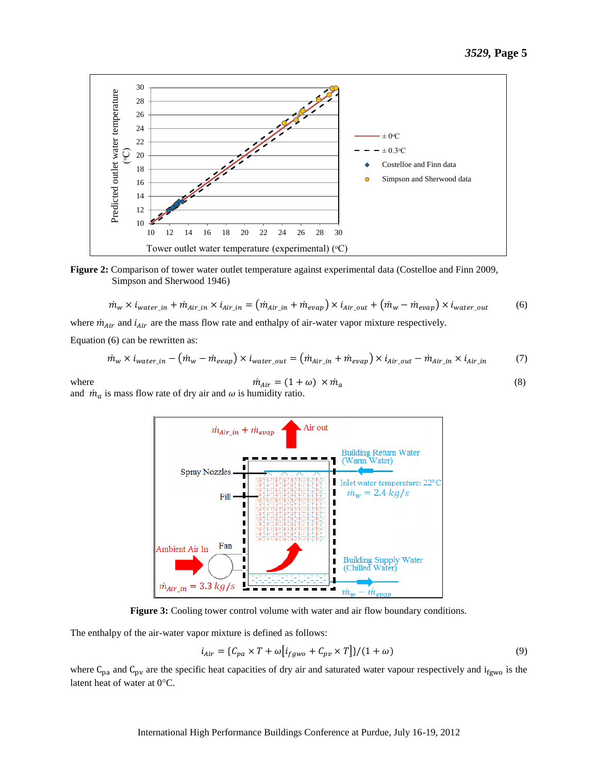

**Figure 2:** Comparison of tower water outlet temperature against experimental data (Costelloe and Finn 2009, Simpson and Sherwood 1946)

$$
\dot{m}_w \times \dot{i}_{water\_in} + \dot{m}_{Air\_in} \times \dot{i}_{Air\_in} = (\dot{m}_{Air\_in} + \dot{m}_{evap}) \times \dot{i}_{Air\_out} + (\dot{m}_w - \dot{m}_{evap}) \times \dot{i}_{water\_out}
$$
(6)

where  $\dot{m}_{Air}$  and  $i_{Air}$  are the mass flow rate and enthalpy of air-water vapor mixture respectively.

Equation (6) can be rewritten as:

$$
\dot{m}_w \times \dot{i}_{water\_in} - (\dot{m}_w - \dot{m}_{evap}) \times \dot{i}_{water\_out} = (\dot{m}_{Air\_in} + \dot{m}_{evap}) \times \dot{i}_{Air\_out} - \dot{m}_{Air\_in} \times \dot{i}_{Air\_in}
$$
 (7)



and  $\dot{m}_a$  is mass flow rate of dry air and  $\omega$  is humidity ratio.



**Figure 3:** Cooling tower control volume with water and air flow boundary conditions.

The enthalpy of the air-water vapor mixture is defined as follows:

$$
i_{Air} = \{C_{pa} \times T + \omega \left[i_{fgwo} + C_{pv} \times T\right]\} / (1 + \omega) \tag{9}
$$

where  $C_{pa}$  and  $C_{pv}$  are the specific heat capacities of dry air and saturated water vapour respectively and i<sub>fgwo</sub> is the latent heat of water at  $0^{\circ}$ C.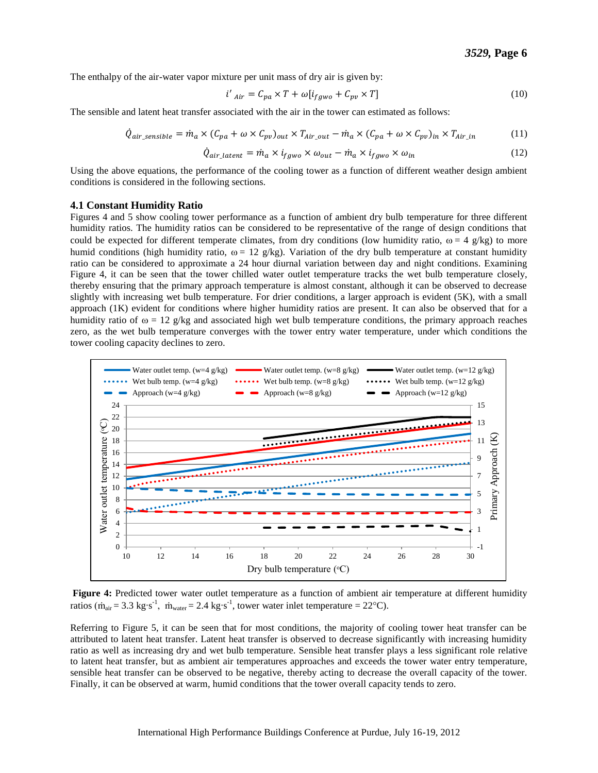The enthalpy of the air-water vapor mixture per unit mass of dry air is given by:

$$
i'_{Air} = C_{pa} \times T + \omega[i_{fgwo} + C_{pv} \times T]
$$
\n(10)

The sensible and latent heat transfer associated with the air in the tower can estimated as follows:

$$
\dot{Q}_{air\_sensible} = \dot{m}_a \times (C_{pa} + \omega \times C_{pv})_{out} \times T_{Air\_out} - \dot{m}_a \times (C_{pa} + \omega \times C_{pv})_{in} \times T_{Air\_in}
$$
 (11)

$$
\dot{Q}_{air\_latent} = \dot{m}_a \times \dot{i}_{fgwo} \times \omega_{out} - \dot{m}_a \times \dot{i}_{fgwo} \times \omega_{in}
$$
\n(12)

Using the above equations, the performance of the cooling tower as a function of different weather design ambient conditions is considered in the following sections.

#### **4.1 Constant Humidity Ratio**

Figures 4 and 5 show cooling tower performance as a function of ambient dry bulb temperature for three different humidity ratios. The humidity ratios can be considered to be representative of the range of design conditions that could be expected for different temperate climates, from dry conditions (low humidity ratio,  $\omega = 4$  g/kg) to more humid conditions (high humidity ratio,  $\omega = 12$  g/kg). Variation of the dry bulb temperature at constant humidity ratio can be considered to approximate a 24 hour diurnal variation between day and night conditions. Examining Figure 4, it can be seen that the tower chilled water outlet temperature tracks the wet bulb temperature closely, thereby ensuring that the primary approach temperature is almost constant, although it can be observed to decrease slightly with increasing wet bulb temperature. For drier conditions, a larger approach is evident (5K), with a small approach (1K) evident for conditions where higher humidity ratios are present. It can also be observed that for a humidity ratio of  $\omega = 12$  g/kg and associated high wet bulb temperature conditions, the primary approach reaches zero, as the wet bulb temperature converges with the tower entry water temperature, under which conditions the tower cooling capacity declines to zero.



**Figure 4:** Predicted tower water outlet temperature as a function of ambient air temperature at different humidity ratios ( $\dot{m}_{air} = 3.3 \text{ kg} \cdot \text{s}^{-1}$ ,  $\dot{m}_{water} = 2.4 \text{ kg} \cdot \text{s}^{-1}$ , tower water inlet temperature = 22°C).

Referring to Figure 5, it can be seen that for most conditions, the majority of cooling tower heat transfer can be attributed to latent heat transfer. Latent heat transfer is observed to decrease significantly with increasing humidity ratio as well as increasing dry and wet bulb temperature. Sensible heat transfer plays a less significant role relative to latent heat transfer, but as ambient air temperatures approaches and exceeds the tower water entry temperature, sensible heat transfer can be observed to be negative, thereby acting to decrease the overall capacity of the tower. Finally, it can be observed at warm, humid conditions that the tower overall capacity tends to zero.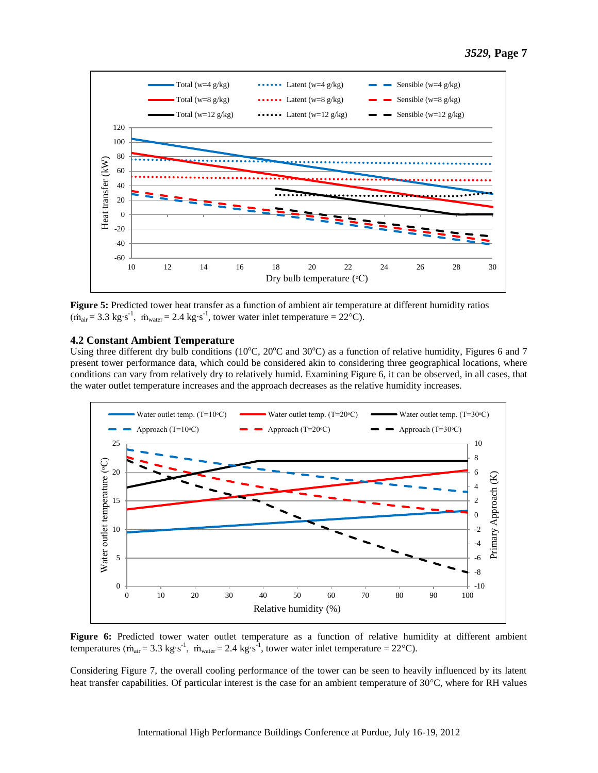

**Figure 5:** Predicted tower heat transfer as a function of ambient air temperature at different humidity ratios  $(\dot{m}_{air} = 3.3 \text{ kg} \cdot \text{s}^{-1}, \dot{m}_{water} = 2.4 \text{ kg} \cdot \text{s}^{-1}, \text{ tower water inlet temperature} = 22 \text{°C}).$ 

#### **4.2 Constant Ambient Temperature**

Using three different dry bulb conditions (10 $^{\circ}$ C, 20 $^{\circ}$ C and 30 $^{\circ}$ C) as a function of relative humidity, Figures 6 and 7 present tower performance data, which could be considered akin to considering three geographical locations, where conditions can vary from relatively dry to relatively humid. Examining Figure 6, it can be observed, in all cases, that the water outlet temperature increases and the approach decreases as the relative humidity increases.



**Figure 6:** Predicted tower water outlet temperature as a function of relative humidity at different ambient temperatures ( $\dot{m}_{air}$  = 3.3 kg⋅s<sup>-1</sup>,  $\dot{m}_{water}$  = 2.4 kg⋅s<sup>-1</sup>, tower water inlet temperature = 22°C).

Considering Figure 7, the overall cooling performance of the tower can be seen to heavily influenced by its latent heat transfer capabilities. Of particular interest is the case for an ambient temperature of  $30^{\circ}$ C, where for RH values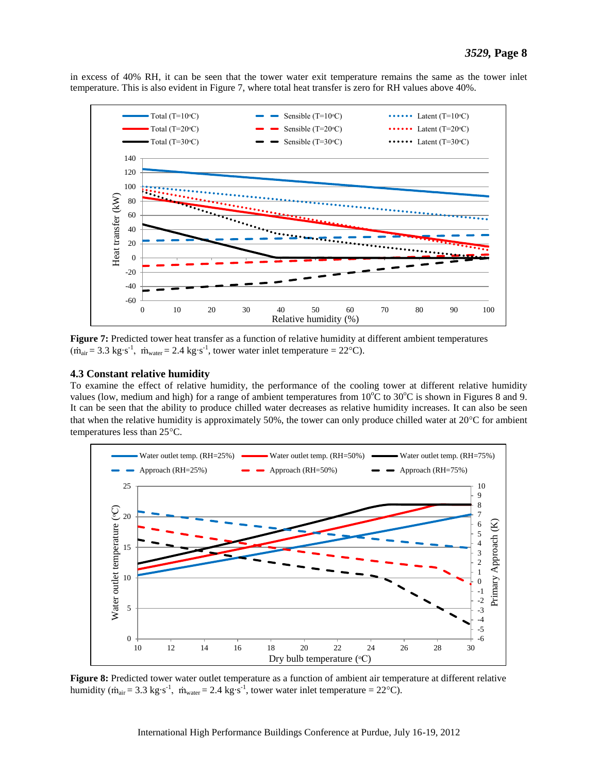in excess of 40% RH, it can be seen that the tower water exit temperature remains the same as the tower inlet temperature. This is also evident in Figure 7, where total heat transfer is zero for RH values above 40%.



**Figure 7:** Predicted tower heat transfer as a function of relative humidity at different ambient temperatures  $(\dot{m}_{air} = 3.3 \text{ kg} \cdot \text{s}^{-1}, \dot{m}_{water} = 2.4 \text{ kg} \cdot \text{s}^{-1}, \text{ tower water inlet temperature} = 22 \text{°C}.$ 

#### **4.3 Constant relative humidity**

To examine the effect of relative humidity, the performance of the cooling tower at different relative humidity values (low, medium and high) for a range of ambient temperatures from  $10^{\circ}$ C to  $30^{\circ}$ C is shown in Figures 8 and 9. It can be seen that the ability to produce chilled water decreases as relative humidity increases. It can also be seen that when the relative humidity is approximately 50%, the tower can only produce chilled water at  $20^{\circ}$ C for ambient temperatures less than 25°C.



**Figure 8:** Predicted tower water outlet temperature as a function of ambient air temperature at different relative humidity ( $\dot{m}_{air}$  = 3.3 kg⋅s<sup>-1</sup>,  $\dot{m}_{water}$  = 2.4 kg⋅s<sup>-1</sup>, tower water inlet temperature = 22°C).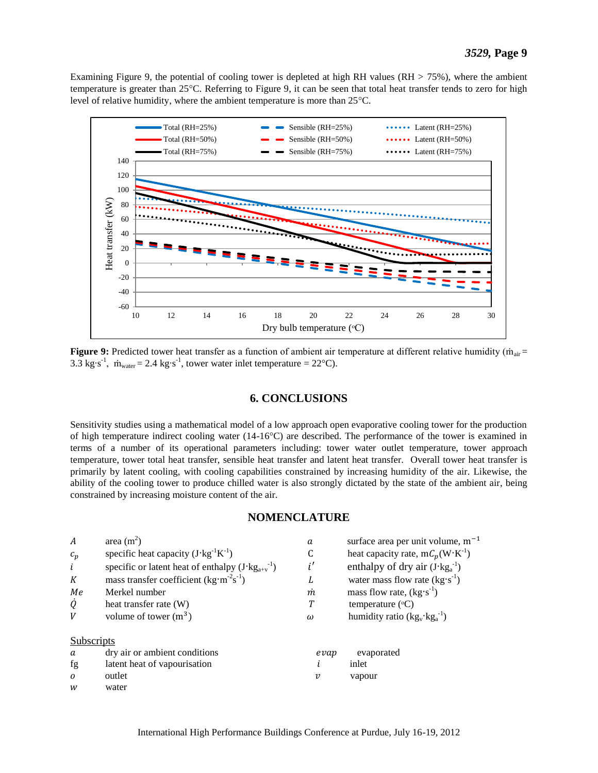Examining Figure 9, the potential of cooling tower is depleted at high RH values (RH > 75%), where the ambient temperature is greater than 25°C. Referring to Figure 9, it can be seen that total heat transfer tends to zero for high level of relative humidity, where the ambient temperature is more than  $25^{\circ}$ C.



**Figure 9:** Predicted tower heat transfer as a function of ambient air temperature at different relative humidity (m<sub>air</sub> = 3.3 kg⋅s<sup>-1</sup>,  $\dot{m}_{water} = 2.4 \text{ kg} \cdot \text{s}^{-1}$ , tower water inlet temperature = 22°C).

### **6. CONCLUSIONS**

Sensitivity studies using a mathematical model of a low approach open evaporative cooling tower for the production of high temperature indirect cooling water  $(14{\text -}16^{\circ}\text{C})$  are described. The performance of the tower is examined in terms of a number of its operational parameters including: tower water outlet temperature, tower approach temperature, tower total heat transfer, sensible heat transfer and latent heat transfer. Overall tower heat transfer is primarily by latent cooling, with cooling capabilities constrained by increasing humidity of the air. Likewise, the ability of the cooling tower to produce chilled water is also strongly dictated by the state of the ambient air, being constrained by increasing moisture content of the air.

#### **NOMENCLATURE**

| $\overline{A}$ | area $(m^2)$                                                  | a                          | surface area per unit volume, m <sup>-1</sup> |
|----------------|---------------------------------------------------------------|----------------------------|-----------------------------------------------|
| $c_p$          | specific heat capacity $(J \cdot kg^{-1} K^{-1})$             |                            | heat capacity rate, $mC_p(W^{\dagger}K^{-1})$ |
| i              | specific or latent heat of enthalpy $(J \cdot kg_{a+v}^{-1})$ | i'                         | enthalpy of dry air $(J \cdot kg_a^{-1})$     |
| K              | mass transfer coefficient $(kg·m-2s-1)$                       | L                          | water mass flow rate $(kg \cdot s^{-1})$      |
| Me             | Merkel number                                                 | m                          | mass flow rate, $(kg's^{-1})$                 |
| Q              | heat transfer rate (W)                                        | Т                          | temperature $({}^{\circ}C)$                   |
| V              | volume of tower $(m^3)$                                       | $\omega$                   | humidity ratio $(kg_v \cdot kg_a^{-1})$       |
| Subscripts     |                                                               |                            |                                               |
| a              | dry air or ambient conditions                                 | evap                       | evaporated                                    |
| fg             | latent heat of vapourisation                                  |                            | inlet                                         |
| $\Omega$       | outlet                                                        | $\boldsymbol{\mathcal{V}}$ | vapour                                        |
| W              | water                                                         |                            |                                               |